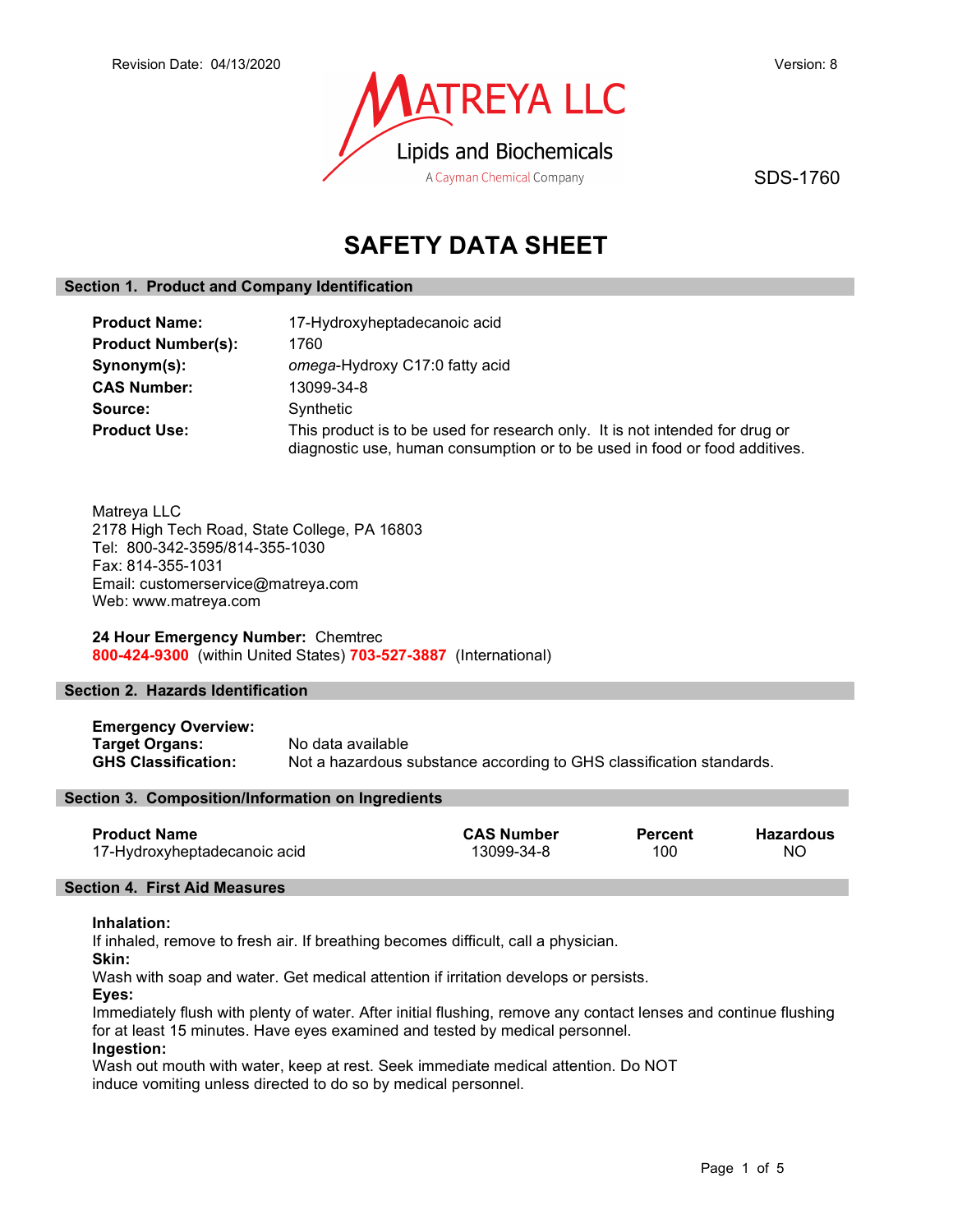

SDS-1760

# SAFETY DATA SHEET

# Section 1. Product and Company Identification

| <b>Product Name:</b>      | 17-Hydroxyheptadecanoic acid                                                                                                                               |
|---------------------------|------------------------------------------------------------------------------------------------------------------------------------------------------------|
| <b>Product Number(s):</b> | 1760                                                                                                                                                       |
| Synonym(s):               | omega-Hydroxy C17:0 fatty acid                                                                                                                             |
| <b>CAS Number:</b>        | 13099-34-8                                                                                                                                                 |
| Source:                   | Synthetic                                                                                                                                                  |
| <b>Product Use:</b>       | This product is to be used for research only. It is not intended for drug or<br>diagnostic use, human consumption or to be used in food or food additives. |

Matreya LLC 2178 High Tech Road, State College, PA 16803 Tel: 800-342-3595/814-355-1030 Fax: 814-355-1031 Email: customerservice@matreya.com Web: www.matreya.com

24 Hour Emergency Number: Chemtrec 800-424-9300 (within United States) 703-527-3887 (International)

# Section 2. Hazards Identification

Emergency Overview: Target Organs: No data available<br>
GHS Classification: Not a hazardous s Not a hazardous substance according to GHS classification standards.

# Section 3. Composition/Information on Ingredients

| Product Name                 | <b>CAS Number</b> | Percent | <b>Hazardous</b> |
|------------------------------|-------------------|---------|------------------|
| 17-Hydroxyheptadecanoic acid | 13099-34-8        | 100     | NΟ               |

### Section 4. First Aid Measures

# Inhalation:

If inhaled, remove to fresh air. If breathing becomes difficult, call a physician.

Skin:

Wash with soap and water. Get medical attention if irritation develops or persists.

Eyes:

Immediately flush with plenty of water. After initial flushing, remove any contact lenses and continue flushing for at least 15 minutes. Have eyes examined and tested by medical personnel.

# Ingestion:

Wash out mouth with water, keep at rest. Seek immediate medical attention. Do NOT induce vomiting unless directed to do so by medical personnel.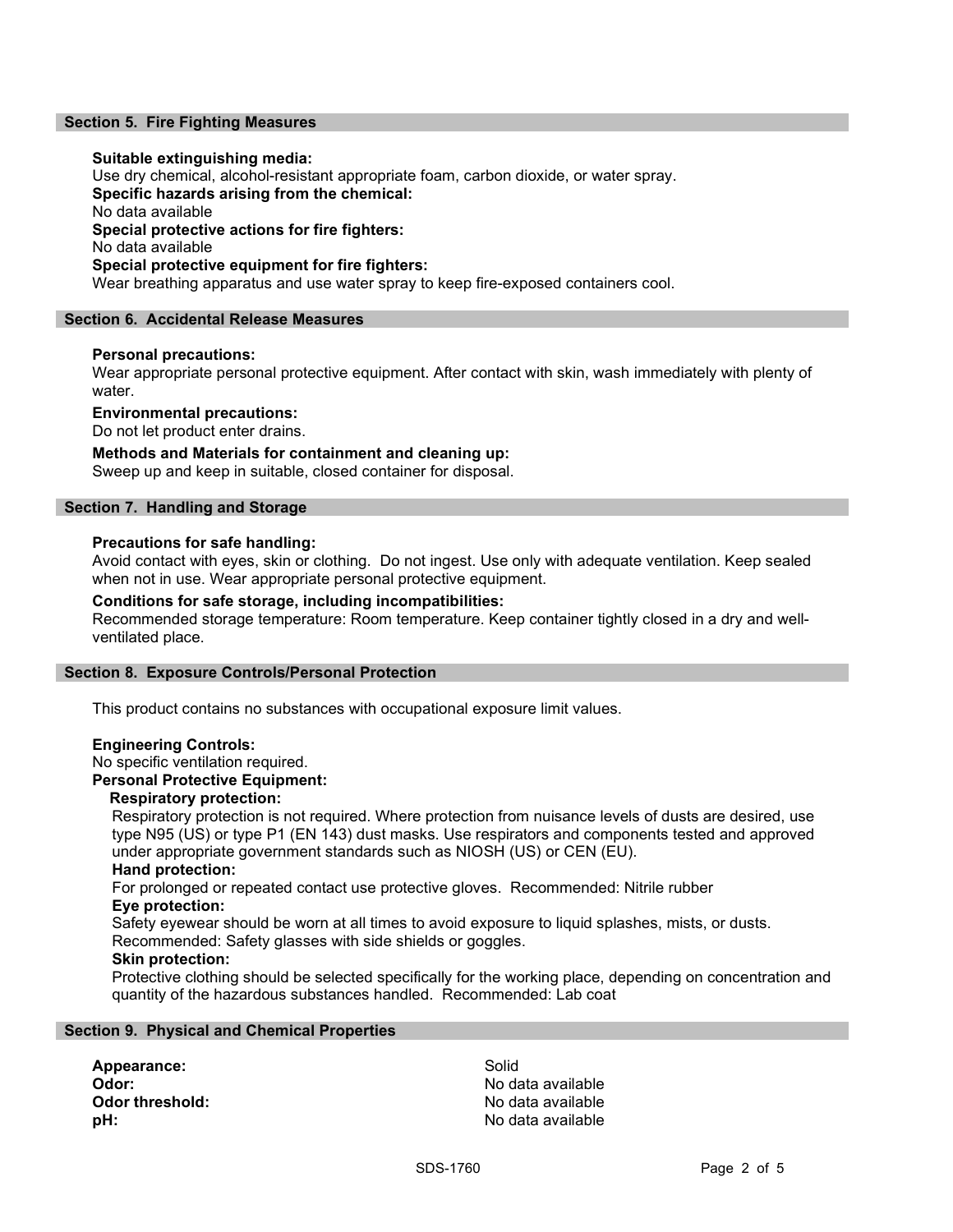# Section 5. Fire Fighting Measures

## Suitable extinguishing media:

Use dry chemical, alcohol-resistant appropriate foam, carbon dioxide, or water spray. Specific hazards arising from the chemical: No data available Special protective actions for fire fighters: No data available Special protective equipment for fire fighters: Wear breathing apparatus and use water spray to keep fire-exposed containers cool.

### Section 6. Accidental Release Measures

### Personal precautions:

Wear appropriate personal protective equipment. After contact with skin, wash immediately with plenty of water.

Environmental precautions:

Do not let product enter drains.

Methods and Materials for containment and cleaning up:

Sweep up and keep in suitable, closed container for disposal.

# Section 7. Handling and Storage

#### Precautions for safe handling:

Avoid contact with eyes, skin or clothing. Do not ingest. Use only with adequate ventilation. Keep sealed when not in use. Wear appropriate personal protective equipment.

# Conditions for safe storage, including incompatibilities:

Recommended storage temperature: Room temperature. Keep container tightly closed in a dry and wellventilated place.

#### Section 8. Exposure Controls/Personal Protection

This product contains no substances with occupational exposure limit values.

#### Engineering Controls:

No specific ventilation required.

# Personal Protective Equipment:

# Respiratory protection:

Respiratory protection is not required. Where protection from nuisance levels of dusts are desired, use type N95 (US) or type P1 (EN 143) dust masks. Use respirators and components tested and approved under appropriate government standards such as NIOSH (US) or CEN (EU).

#### Hand protection:

For prolonged or repeated contact use protective gloves. Recommended: Nitrile rubber Eye protection:

Safety eyewear should be worn at all times to avoid exposure to liquid splashes, mists, or dusts.

Recommended: Safety glasses with side shields or goggles.

# Skin protection:

Protective clothing should be selected specifically for the working place, depending on concentration and quantity of the hazardous substances handled. Recommended: Lab coat

# Section 9. Physical and Chemical Properties

Appearance: Solid Odor: No data available Odor threshold: Contract the Modata available **pH:**  $\blacksquare$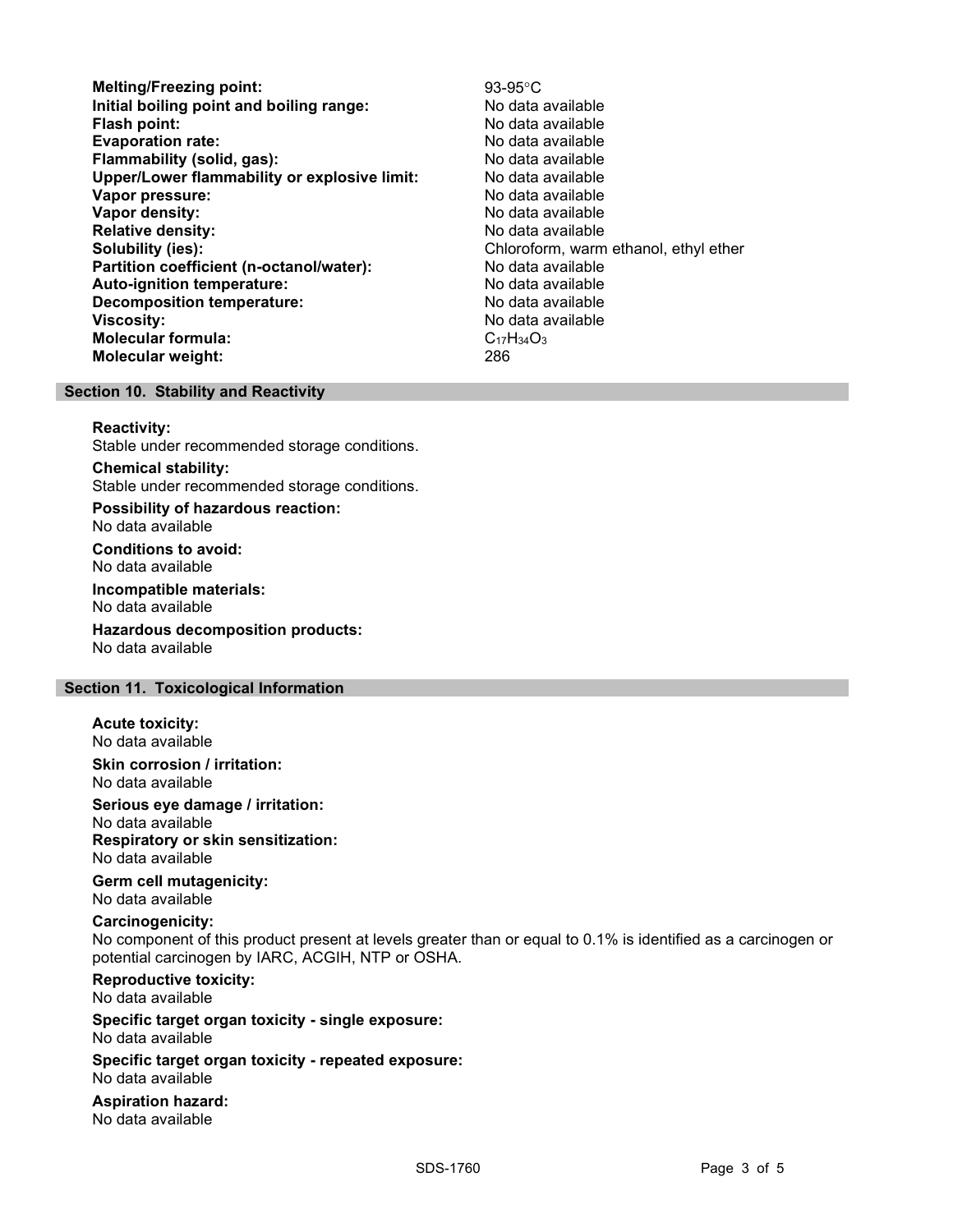- Melting/Freezing point: 93-95°C Initial boiling point and boiling range: No data available **Flash point:** No data available in the set of the set of the No data available in the set of the set of the set of the set of the set of the set of the set of the set of the set of the set of the set of the set of the set Evaporation rate: No data available Flammability (solid, gas): No data available Upper/Lower flammability or explosive limit: No data available Vapor pressure: No data available Vapor density: No data available Relative density:<br>
Solubility (ies):<br>
Solubility (ies):<br>
Chloroform, warm Partition coefficient (n-octanol/water): No data available Auto-ignition temperature: No data available Decomposition temperature: No data available **Viscosity:** No data available in the set of the set of the set of the set of the set of the set of the set of the set of the set of the set of the set of the set of the set of the set of the set of the set of the set of t Molecular formula: C<sub>17</sub>H<sub>34</sub>O<sub>3</sub> Molecular weight: 286
	- Chloroform, warm ethanol, ethyl ether

## Section 10. Stability and Reactivity

#### Reactivity:

Stable under recommended storage conditions.

Chemical stability: Stable under recommended storage conditions.

Possibility of hazardous reaction: No data available

Conditions to avoid: No data available

Incompatible materials: No data available

Hazardous decomposition products: No data available

# Section 11. Toxicological Information

Acute toxicity: No data available

Skin corrosion / irritation: No data available

Serious eye damage / irritation: No data available

Respiratory or skin sensitization: No data available

Germ cell mutagenicity: No data available

## Carcinogenicity:

No component of this product present at levels greater than or equal to 0.1% is identified as a carcinogen or potential carcinogen by IARC, ACGIH, NTP or OSHA.

Reproductive toxicity:

No data available

Specific target organ toxicity - single exposure: No data available

Specific target organ toxicity - repeated exposure: No data available

Aspiration hazard: No data available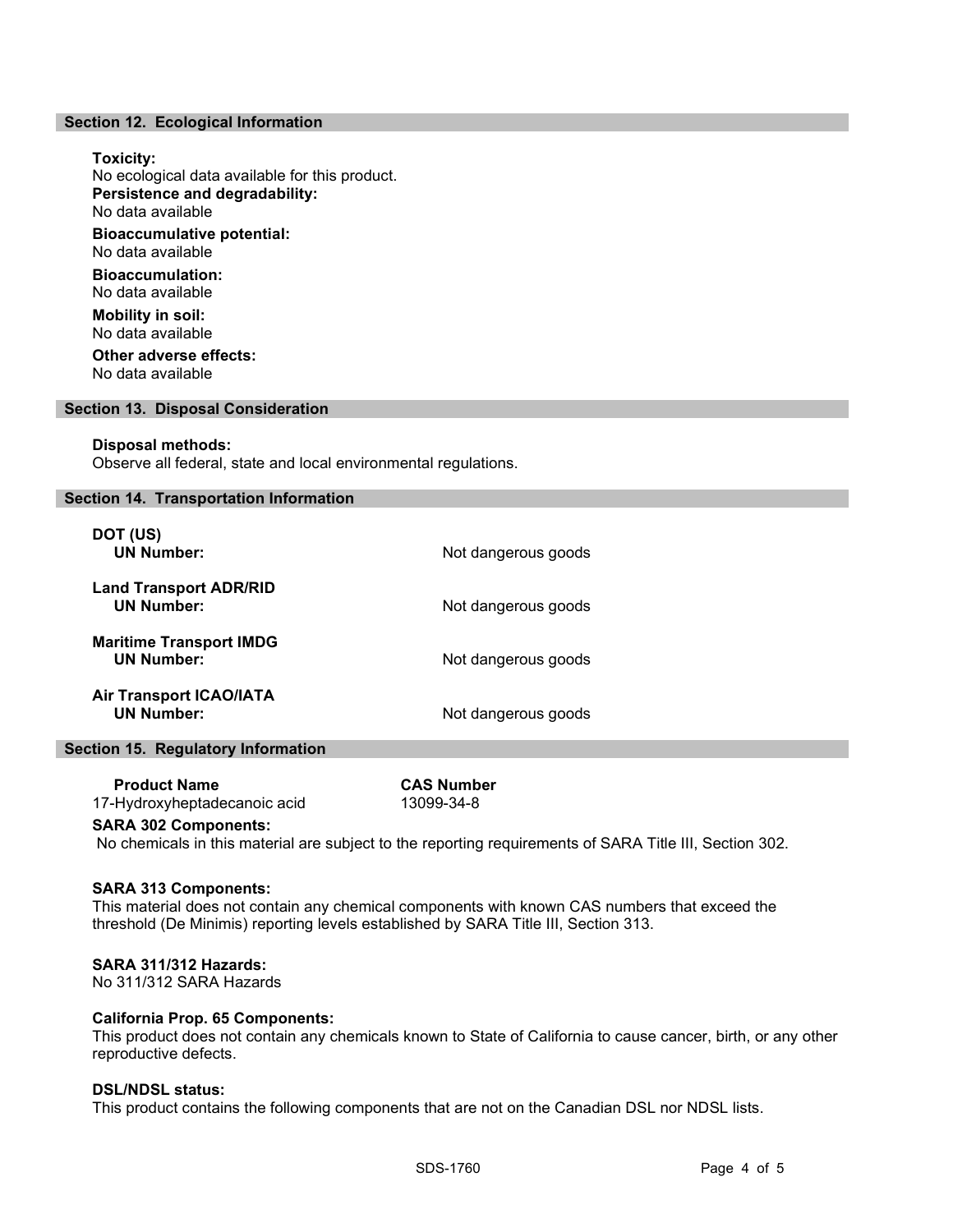## Section 12. Ecological Information

# Toxicity: No ecological data available for this product. Persistence and degradability: No data available Bioaccumulative potential: No data available Bioaccumulation: No data available Mobility in soil: No data available Other adverse effects: No data available

#### Section 13. Disposal Consideration

#### Disposal methods:

Observe all federal, state and local environmental regulations.

## Section 14. Transportation Information

| DOT (US)<br><b>UN Number:</b>                       | Not dangerous goods |
|-----------------------------------------------------|---------------------|
| <b>Land Transport ADR/RID</b><br><b>UN Number:</b>  | Not dangerous goods |
| <b>Maritime Transport IMDG</b><br><b>UN Number:</b> | Not dangerous goods |
| <b>Air Transport ICAO/IATA</b><br><b>UN Number:</b> | Not dangerous goods |

### Section 15. Regulatory Information

| <b>Product Name</b>          | <b>CAS Number</b> |
|------------------------------|-------------------|
| 17-Hydroxyheptadecanoic acid | 13099-34-8        |

#### SARA 302 Components:

No chemicals in this material are subject to the reporting requirements of SARA Title III, Section 302.

#### SARA 313 Components:

This material does not contain any chemical components with known CAS numbers that exceed the threshold (De Minimis) reporting levels established by SARA Title III, Section 313.

## SARA 311/312 Hazards:

No 311/312 SARA Hazards

# California Prop. 65 Components:

This product does not contain any chemicals known to State of California to cause cancer, birth, or any other reproductive defects.

# DSL/NDSL status:

This product contains the following components that are not on the Canadian DSL nor NDSL lists.